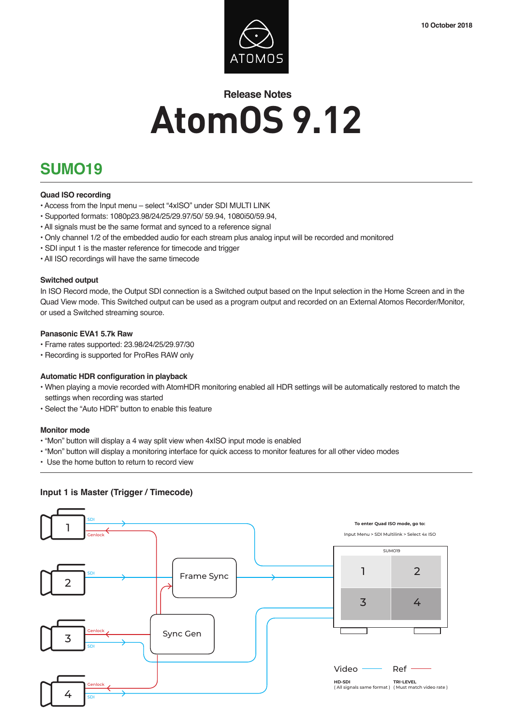

# **Release Notes AtomOS 9.12**

## **SUMO19**

#### **Quad ISO recording**

- Access from the Input menu select "4xISO" under SDI MULTI LINK
- Supported formats: 1080p23.98/24/25/29.97/50/ 59.94, 1080i50/59.94,
- All signals must be the same format and synced to a reference signal
- Only channel 1/2 of the embedded audio for each stream plus analog input will be recorded and monitored
- SDI input 1 is the master reference for timecode and trigger
- All ISO recordings will have the same timecode

#### **Switched output**

In ISO Record mode, the Output SDI connection is a Switched output based on the Input selection in the Home Screen and in the Quad View mode. This Switched output can be used as a program output and recorded on an External Atomos Recorder/Monitor, or used a Switched streaming source.

#### **Panasonic EVA1 5.7k Raw**

- Frame rates supported: 23.98/24/25/29.97/30
- Recording is supported for ProRes RAW only

#### **Automatic HDR configuration in playback**

- When playing a movie recorded with AtomHDR monitoring enabled all HDR settings will be automatically restored to match the settings when recording was started
- Select the "Auto HDR" button to enable this feature

#### **Monitor mode**

- "Mon" button will display a 4 way split view when 4xISO input mode is enabled
- "Mon" button will display a monitoring interface for quick access to monitor features for all other video modes
- Use the home button to return to record view

### **Input 1 is Master (Trigger / Timecode)**